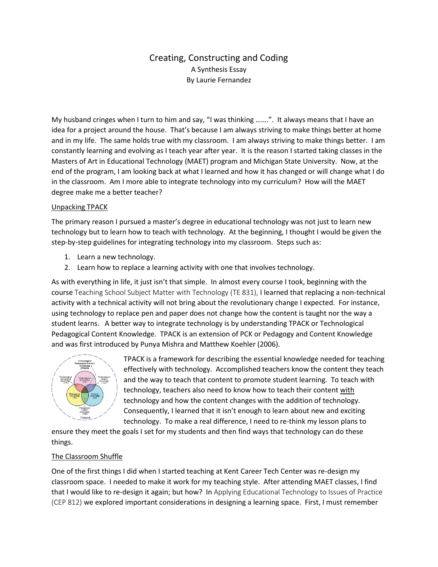# Creating, Constructing and Coding A Synthesis Essay By Laurie Fernandez

My husband cringes when I turn to him and say, "I was thinking .......". It always means that I have an idea for a project around the house. That's because I am always striving to make things better at home and in my life. The same holds true with my classroom. I am always striving to make things better. I am constantly learning and evolving as I teach year after year. It is the reason I started taking classes in the Masters of Art in Educational Technology (MAET) program and Michigan State University. Now, at the end of the program, I am looking back at what I learned and how it has changed or will change what I do in the classroom. Am I more able to integrate technology into my curriculum? How will the MAET degree make me a better teacher?

# Unpacking TPACK

The primary reason I pursued a master's degree in educational technology was not just to learn new technology but to learn how to teach with technology. At the beginning, I thought I would be given the step-by-step guidelines for integrating technology into my classroom. Steps such as:

- 1. Learn a new technology.
- 2. Learn how to replace a learning activity with one that involves technology.

As with everything in life, it just isn't that simple. In almost every course I took, beginning with the course Teaching School Subject Matter with Technology (TE 831), I learned that replacing a non-technical activity with a technical activity will not bring about the revolutionary change I expected. For instance, using technology to replace pen and paper does not change how the content is taught nor the way a student learns. A better way to integrate technology is by understanding TPACK or Technological Pedagogical Content Knowledge. TPACK is an extension of PCK or Pedagogy and Content Knowledge and was first introduced by Punya Mishra and Matthew Koehler (2006).



TPACK is a framework for describing the essential knowledge needed for teaching effectively with technology. Accomplished teachers know the content they teach and the way to teach that content to promote student learning. To teach with technology, teachers also need to know how to teach their content with technology and how the content changes with the addition of technology. Consequently, I learned that it isn't enough to learn about new and exciting technology. To make a real difference, I need to re-think my lesson plans to

ensure they meet the goals I set for my students and then find ways that technology can do these things.

## The Classroom Shuffle

One of the first things I did when I started teaching at Kent Career Tech Center was re-design my classroom space. I needed to make it work for my teaching style. After attending MAET classes, I find that I would like to re-design it again; but how? In Applying Educational Technology to Issues of Practice (CEP 812) we explored important considerations in designing a learning space. First, I must remember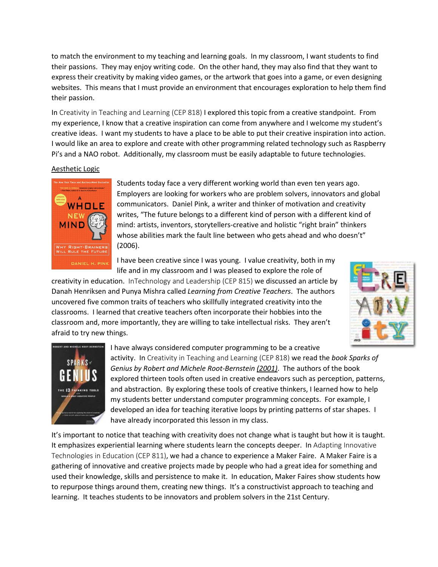to match the environment to my teaching and learning goals. In my classroom, I want students to find their passions. They may enjoy writing code. On the other hand, they may also find that they want to express their creativity by making video games, or the artwork that goes into a game, or even designing websites. This means that I must provide an environment that encourages exploration to help them find their passion.

In Creativity in Teaching and Learning (CEP 818) I explored this topic from a creative standpoint. From my experience, I know that a creative inspiration can come from anywhere and I welcome my student's creative ideas. I want my students to have a place to be able to put their creative inspiration into action. I would like an area to explore and create with other programming related technology such as Raspberry Pi's and a NAO robot. Additionally, my classroom must be easily adaptable to future technologies.

# Aesthetic Logic



Students today face a very different working world than even ten years ago. Employers are looking for workers who are problem solvers, innovators and global communicators. Daniel Pink, a writer and thinker of motivation and creativity writes, "The future belongs to a different kind of person with a different kind of mind: artists, inventors, storytellers-creative and holistic "right brain" thinkers whose abilities mark the fault line between who gets ahead and who doesn't" (2006).

I have been creative since I was young. I value creativity, both in my life and in my classroom and I was pleased to explore the role of

creativity in education. InTechnology and Leadership (CEP 815) we discussed an article by Danah Henriksen and Punya Mishra called *Learning from Creative Teachers*. The authors uncovered five common traits of teachers who skillfully integrated creativity into the classrooms. I learned that creative teachers often incorporate their hobbies into the classroom and, more importantly, they are willing to take intellectual risks. They aren't afraid to try new things.





I have always considered computer programming to be a creative

activity. In Creativity in Teaching and Learning (CEP 818) we read the *book Sparks of Genius by Robert and Michele Root-Bernstein (2001)*. The authors of the book explored thirteen tools often used in creative endeavors such as perception, patterns, and abstraction. By exploring these tools of creative thinkers, I learned how to help my students better understand computer programming concepts. For example, I developed an idea for teaching iterative loops by printing patterns of star shapes. I have already incorporated this lesson in my class.

It's important to notice that teaching with creativity does not change what is taught but how it is taught. It emphasizes experiential learning where students learn the concepts deeper. In Adapting Innovative Technologies in Education (CEP 811), we had a chance to experience a Maker Faire. A Maker Faire is a gathering of innovative and creative projects made by people who had a great idea for something and used their knowledge, skills and persistence to make it. In education, Maker Faires show students how to repurpose things around them, creating new things. It's a constructivist approach to teaching and learning. It teaches students to be innovators and problem solvers in the 21st Century.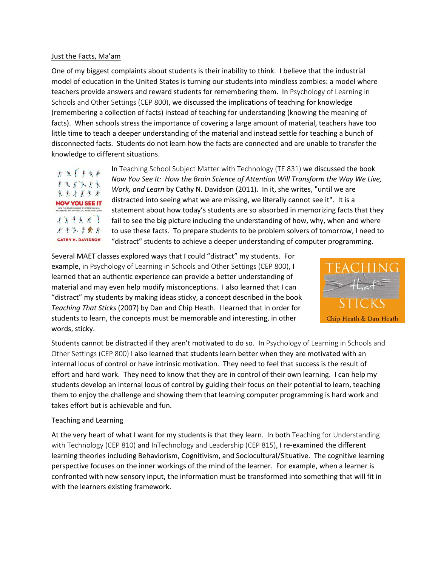#### Just the Facts, Ma'am

One of my biggest complaints about students is their inability to think. I believe that the industrial model of education in the United States is turning our students into mindless zombies: a model where teachers provide answers and reward students for remembering them. In Psychology of Learning in Schools and Other Settings (CEP 800), we discussed the implications of teaching for knowledge (remembering a collection of facts) instead of teaching for understanding (knowing the meaning of facts). When schools stress the importance of covering a large amount of material, teachers have too little time to teach a deeper understanding of the material and instead settle for teaching a bunch of disconnected facts. Students do not learn how the facts are connected and are unable to transfer the knowledge to different situations.



In Teaching School Subject Matter with Technology (TE 831) we discussed the book *Now You See It: How the Brain Science of Attention Will Transform the Way We Live, Work, and Learn* by Cathy N. Davidson (2011). In it, she writes, "until we are distracted into seeing what we are missing, we literally cannot see it". It is a statement about how today's students are so absorbed in memorizing facts that they fail to see the big picture including the understanding of how, why, when and where to use these facts. To prepare students to be problem solvers of tomorrow, I need to "distract" students to achieve a deeper understanding of computer programming.

Several MAET classes explored ways that I could "distract" my students. For example, in Psychology of Learning in Schools and Other Settings (CEP 800), I learned that an authentic experience can provide a better understanding of material and may even help modify misconceptions. I also learned that I can "distract" my students by making ideas sticky, a concept described in the book *Teaching That Sticks* (2007) by Dan and Chip Heath. I learned that in order for students to learn, the concepts must be memorable and interesting, in other words, sticky.



Students cannot be distracted if they aren't motivated to do so. In Psychology of Learning in Schools and Other Settings (CEP 800) I also learned that students learn better when they are motivated with an internal locus of control or have intrinsic motivation. They need to feel that success is the result of effort and hard work. They need to know that they are in control of their own learning. I can help my students develop an internal locus of control by guiding their focus on their potential to learn, teaching them to enjoy the challenge and showing them that learning computer programming is hard work and takes effort but is achievable and fun.

## Teaching and Learning

At the very heart of what I want for my students is that they learn. In both Teaching for Understanding with Technology (CEP 810) and InTechnology and Leadership (CEP 815), I re-examined the different learning theories including Behaviorism, Cognitivism, and Sociocultural/Situative. The cognitive learning perspective focuses on the inner workings of the mind of the learner. For example, when a learner is confronted with new sensory input, the information must be transformed into something that will fit in with the learners existing framework.